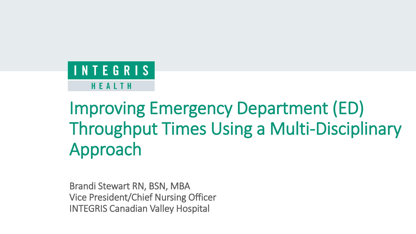#### **INTEGRIS** HEALTH

# Improving Emergency Department (ED) Throughput Times Using a Multi-Disciplinary Approach

Brandi Stewart RN, BSN, MBA Vice President/Chief Nursing Officer INTEGRIS Canadian Valley Hospital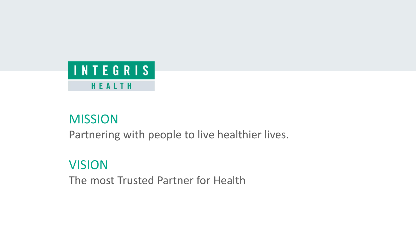

#### Mission MISSION

Partnering with people to live healthier lives. Partnering with people to live healthier lives.

#### Vision VISION

The Most Trusted Partner for Health Trusted Partner for Health Trusted Partner for Health Trusted Partner for <br>The Most Trusted Partner for Health Trusted Partner for Health Trusted Partner for Health Trusted Partner for The most Trusted Partner for Health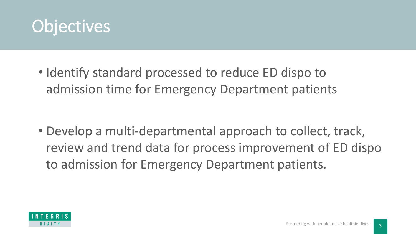

• Identify standard processed to reduce ED dispo to admission time for Emergency Department patients

• Develop a multi-departmental approach to collect, track, review and trend data for process improvement of ED dispo to admission for Emergency Department patients.

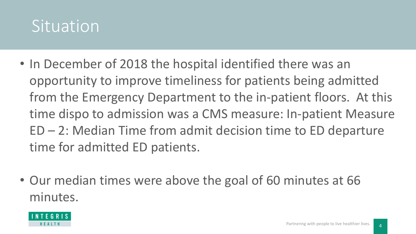### Situation

- In December of 2018 the hospital identified there was an opportunity to improve timeliness for patients being admitted from the Emergency Department to the in-patient floors. At this time dispo to admission was a CMS measure: In-patient Measure ED – 2: Median Time from admit decision time to ED departure time for admitted ED patients.
- Our median times were above the goal of 60 minutes at 66 minutes.

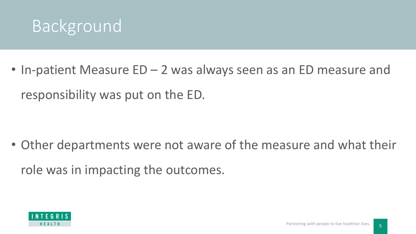

• In-patient Measure ED – 2 was always seen as an ED measure and responsibility was put on the ED.

• Other departments were not aware of the measure and what their role was in impacting the outcomes.

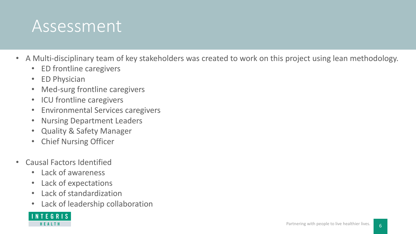### **Assessment**

- A Multi-disciplinary team of key stakeholders was created to work on this project using lean methodology.
	- ED frontline caregivers
	- ED Physician
	- Med-surg frontline caregivers
	- ICU frontline caregivers
	- Environmental Services caregivers
	- Nursing Department Leaders
	- Quality & Safety Manager
	- Chief Nursing Officer
- Causal Factors Identified
	- Lack of awareness
	- Lack of expectations
	- Lack of standardization
	- Lack of leadership collaboration

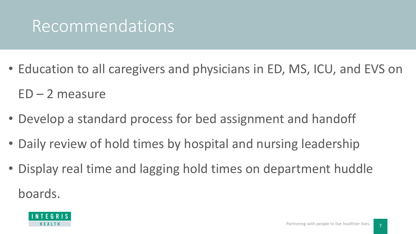## Recommendations

- Education to all caregivers and physicians in ED, MS, ICU, and EVS on  $ED - 2$  measure
- Develop a standard process for bed assignment and handoff
- Daily review of hold times by hospital and nursing leadership
- Display real time and lagging hold times on department huddle boards.

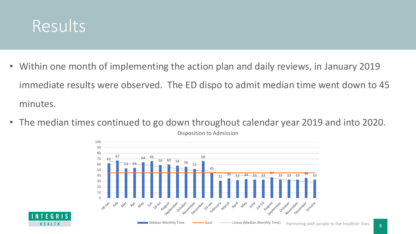

- Within one month of implementing the action plan and daily reviews, in January 2019 immediate results were observed. The ED dispo to admit median time went down to 45 minutes.
- The median times continued to go down throughout calendar year 2019 and into 2020.





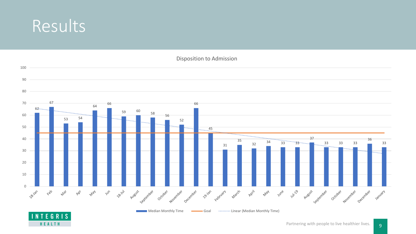#### Results